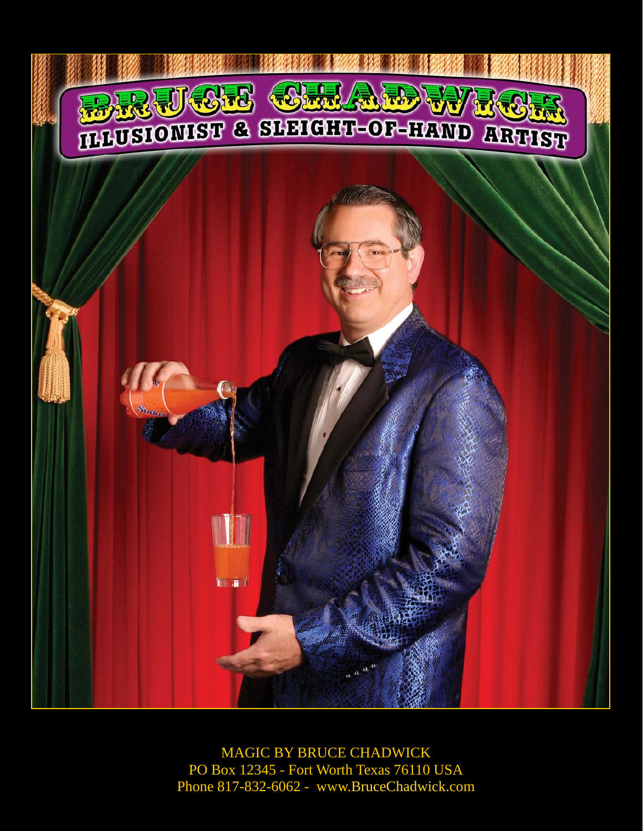

MAGIC BY BRUCE CHADWICK PO Box 12345 - Fort Worth Texas 76110 USA Phone 817-832-6062 - www.BruceChadwick.com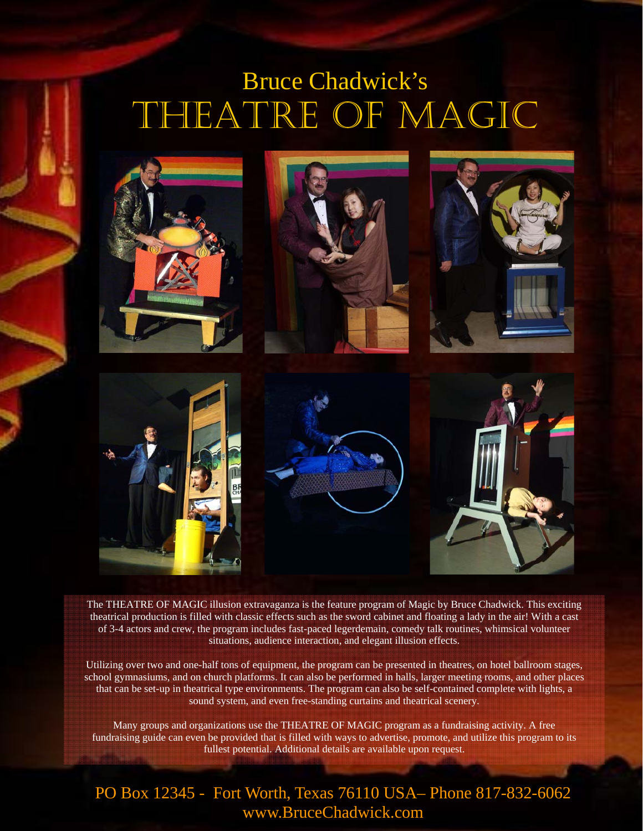## THEATRE OF MAGIC Bruce Chadwick's



The THEATRE OF MAGIC illusion extravaganza is the feature program of Magic by Bruce Chadwick. This exciting theatrical production is filled with classic effects such as the sword cabinet and floating a lady in the air! With a cast of 3-4 actors and crew, the program includes fast-paced legerdemain, comedy talk routines, whimsical volunteer situations, audience interaction, and elegant illusion effects.

Utilizing over two and one-half tons of equipment, the program can be presented in theatres, on hotel ballroom stages, school gymnasiums, and on church platforms. It can also be performed in halls, larger meeting rooms, and other places that can be set-up in theatrical type environments. The program can also be self-contained complete with lights, a sound system, and even free-standing curtains and theatrical scenery.

Many groups and organizations use the THEATRE OF MAGIC program as a fundraising activity. A free fundraising guide can even be provided that is filled with ways to advertise, promote, and utilize this program to its fullest potential. Additional details are available upon request.

## PO Box 12345 - Fort Worth, Texas 76110 USA– Phone 817-832-6062 www.BruceChadwick.com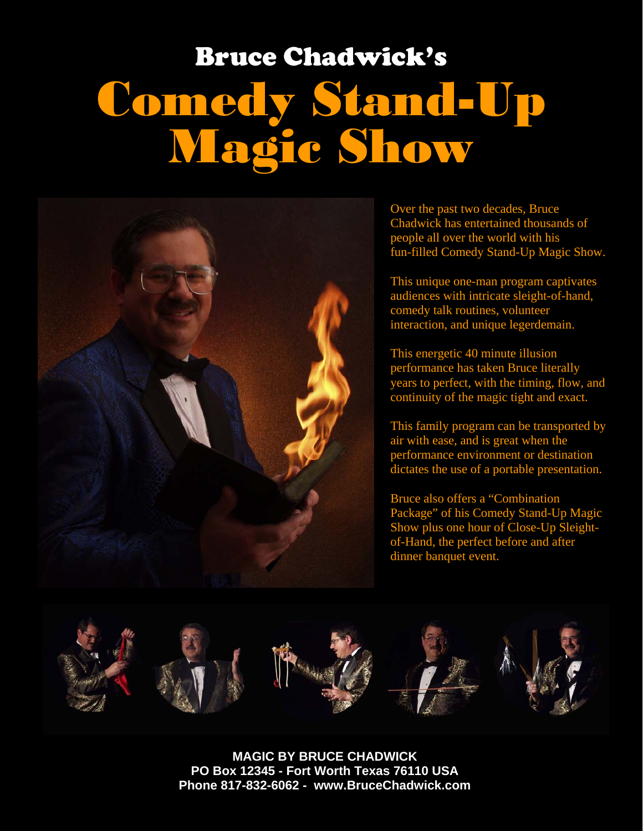## Comedy Stand-Up Magic Show Bruce Chadwick's



Over the past two decades, Bruce Chadwick has entertained thousands of people all over the world with his fun-filled Comedy Stand-Up Magic Show.

This unique one-man program captivates audiences with intricate sleight-of-hand, comedy talk routines, volunteer interaction, and unique legerdemain.

This energetic 40 minute illusion performance has taken Bruce literally years to perfect, with the timing, flow, and continuity of the magic tight and exact.

This family program can be transported by air with ease, and is great when the performance environment or destination dictates the use of a portable presentation.

Bruce also offers a "Combination Package" of his Comedy Stand-Up Magic Show plus one hour of Close-Up Sleightof-Hand, the perfect before and after dinner banquet event.



**MAGIC BY BRUCE CHADWICK PO Box 12345 - Fort Worth Texas 76110 USA Phone 817-832-6062 - www.BruceChadwick.com**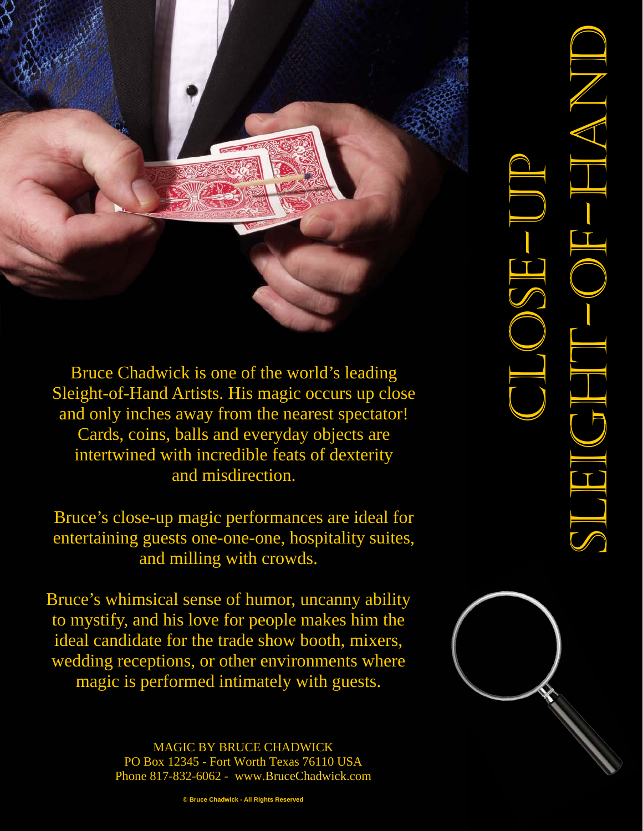Bruce Chadwick is one of the world's leading Sleight-of-Hand Artists. His magic occurs up close and only inches away from the nearest spectator! Cards, coins, balls and everyday objects are intertwined with incredible feats of dexterity and misdirection.

Bruce's close-up magic performances are ideal for entertaining guests one-one-one, hospitality suites, and milling with crowds.

Bruce's whimsical sense of humor, uncanny ability to mystify, and his love for people makes him the ideal candidate for the trade show booth, mixers, wedding receptions, or other environments where magic is performed intimately with guests.

> MAGIC BY BRUCE CHADWICK PO Box 12345 - Fort Worth Texas 76110 USA Phone 817-832-6062 - www.BruceChadwick.com



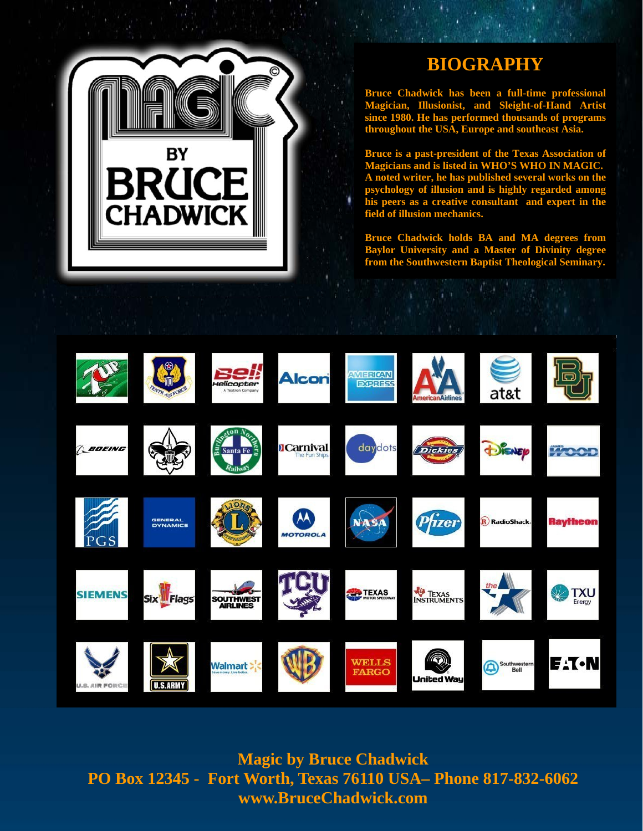

## **BIOGRAPHY**

**Bruce Chadwick has been a full-time professional Magician, Illusionist, and Sleight-of-Hand Artist since 1980. He has performed thousands of programs throughout the USA, Europe and southeast Asia.** 

**Bruce is a past-president of the Texas Association of Magicians and is listed in WHO'S WHO IN MAGIC. A noted writer, he has published several works on the psychology of illusion and is highly regarded among his peers as a creative consultant and expert in the field of illusion mechanics.** 

**Bruce Chadwick holds BA and MA degrees from Baylor University and a Master of Divinity degree from the Southwestern Baptist Theological Seminary.** 



**Magic by Bruce Chadwick PO Box 12345 - Fort Worth, Texas 76110 USA– Phone 817-832-6062 www.BruceChadwick.com**